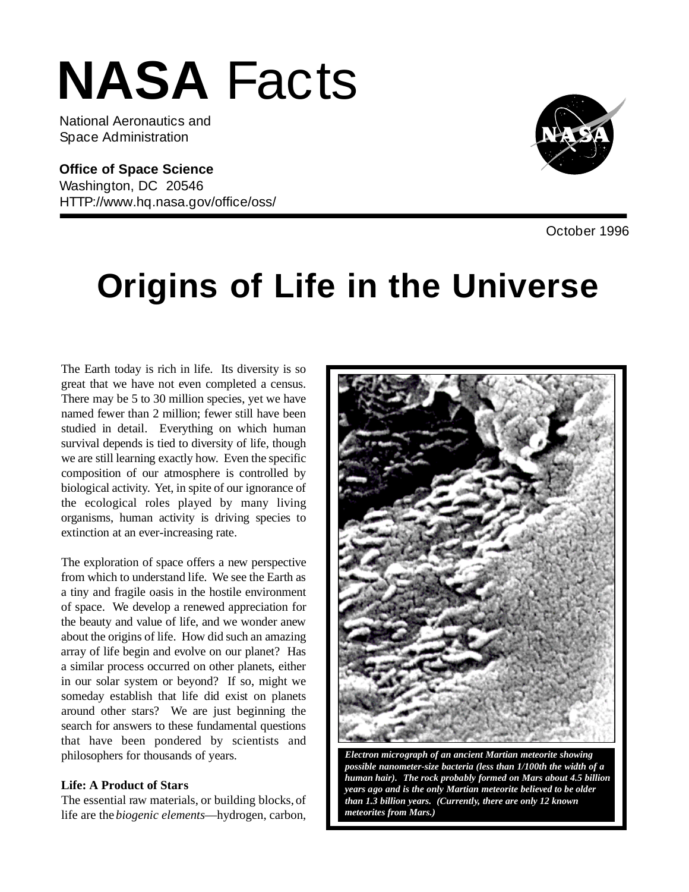# **NASA** Facts

National Aeronautics and Space Administration

**Office of Space Science** Washington, DC 20546 HTTP://www.hq.nasa.gov/office/oss/



October 1996

# **Origins of Life in the Universe**

The Earth today is rich in life. Its diversity is so great that we have not even completed a census. There may be 5 to 30 million species, yet we have named fewer than 2 million; fewer still have been studied in detail. Everything on which human survival depends is tied to diversity of life, though we are still learning exactly how. Even the specific composition of our atmosphere is controlled by biological activity. Yet, in spite of our ignorance of the ecological roles played by many living organisms, human activity is driving species to extinction at an ever-increasing rate.

The exploration of space offers a new perspective from which to understand life. We see the Earth as a tiny and fragile oasis in the hostile environment of space. We develop a renewed appreciation for the beauty and value of life, and we wonder anew about the origins of life. How did such an amazing array of life begin and evolve on our planet? Has a similar process occurred on other planets, either in our solar system or beyond? If so, might we someday establish that life did exist on planets around other stars? We are just beginning the search for answers to these fundamental questions that have been pondered by scientists and philosophers for thousands of years.

## **Life: A Product of Stars**

The essential raw materials, or building blocks, of life are the *biogenic elements*—hydrogen, carbon,



*Electron micrograph of an ancient Martian meteorite showing possible nanometer-size bacteria (less than 1/100th the width of a human hair). The rock probably formed on Mars about 4.5 billion years ago and is the only Martian meteorite believed to be older than 1.3 billion years. (Currently, there are only 12 known meteorites from Mars.)*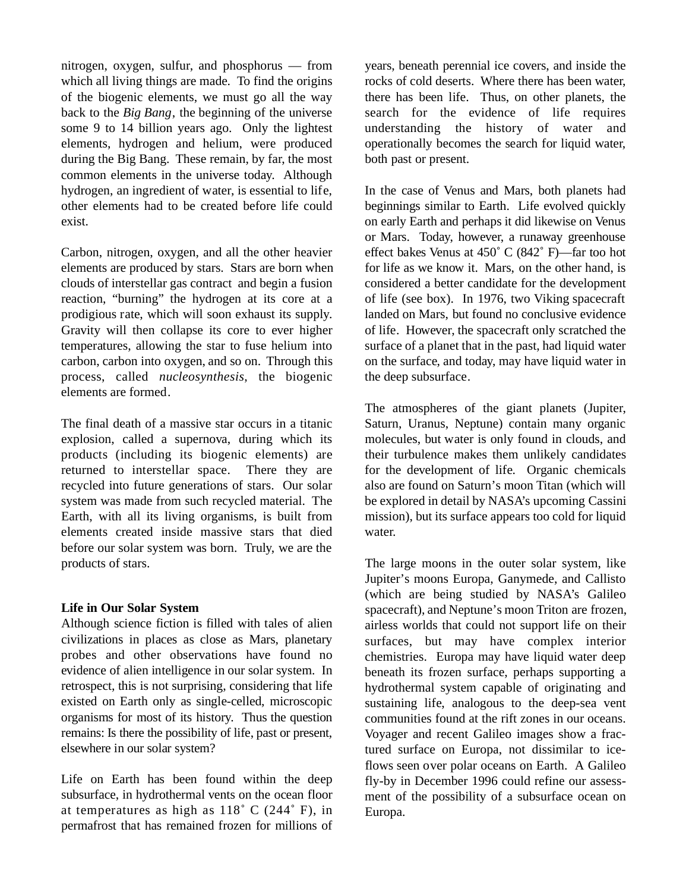nitrogen, oxygen, sulfur, and phosphorus — from which all living things are made. To find the origins of the biogenic elements, we must go all the way back to the *Big Bang*, the beginning of the universe some 9 to 14 billion years ago. Only the lightest elements, hydrogen and helium, were produced during the Big Bang. These remain, by far, the most common elements in the universe today. Although hydrogen, an ingredient of water, is essential to life, other elements had to be created before life could exist.

Carbon, nitrogen, oxygen, and all the other heavier elements are produced by stars. Stars are born when clouds of interstellar gas contract and begin a fusion reaction, "burning" the hydrogen at its core at a prodigious rate, which will soon exhaust its supply. Gravity will then collapse its core to ever higher temperatures, allowing the star to fuse helium into carbon, carbon into oxygen, and so on. Through this process, called *nucleosynthesis*, the biogenic elements are formed.

The final death of a massive star occurs in a titanic explosion, called a supernova, during which its p roducts (including its biogenic elements) are returned to interstellar space. There they are recycled into future generations of stars. Our solar system was made from such recycled material. The Earth, with all its living organisms, is built from elements created inside massive stars that died before our solar system was born. Truly, we are the products of stars.

# **Life in Our Solar System**

Although science fiction is filled with tales of alien civilizations in places as close as Mars, planetary p robes and other observations have found no evidence of alien intelligence in our solar system. In re trospect, this is not surprising, considering that life existed on Earth only as single-celled, microscopic organisms for most of its history. Thus the question remains: Is there the possibility of life, past or present, elsewhere in our solar system?

Life on Earth has been found within the deep subsurface, in hydrothermal vents on the ocean floor at temperatures as high as  $118°$  C (244° F), in permafrost that has remained frozen for millions of years, beneath perennial ice covers, and inside the rocks of cold deserts. Where there has been water, there has been life. Thus, on other planets, the search for the evidence of life requires understanding the history of water and operationally becomes the search for liquid water, both past or present.

In the case of Venus and Mars, both planets had beginnings similar to Earth. Life evolved quickly on early Earth and perhaps it did likewise on Venus or Mars. Today, however, a runaway greenhouse effect bakes Venus at  $450^{\circ}$  C (842 $^{\circ}$  F)—far too hot for life as we know it. Mars, on the other hand, is considered a better candidate for the development of life (see box). In 1976, two Viking spacecraft landed on Mars, but found no conclusive evidence of life. However, the spacecraft only scratched the surface of a planet that in the past, had liquid water on the surface, and today, may have liquid water in the deep subsurface.

The atmospheres of the giant planets (Jupiter, Saturn, Uranus, Neptune) contain many organic molecules, but water is only found in clouds, and their turbulence makes them unlikely candidates for the development of life. Organic chemicals also are found on Saturn's moon Titan (which will be explored in detail by NASA's upcoming Cassini mission), but its surface appears too cold for liquid water.

The large moons in the outer solar system, like Jupiter's moons Europa, Ganymede, and Callisto (which are being studied by NASA's Galileo spacecraft), and Neptune's moon Triton are frozen, airless worlds that could not support life on their surfaces, but may have complex interior chemistries. Europa may have liquid water deep beneath its frozen surface, perhaps supporting a hydrothermal system capable of originating and sustaining life, analogous to the deep-sea vent communities found at the rift zones in our oceans. Voyager and recent Galileo images show a fractured surface on Europa, not dissimilar to iceflows seen over polar oceans on Earth. A Galileo fly-by in December 1996 could refine our assessment of the possibility of a subsurface ocean on Europa.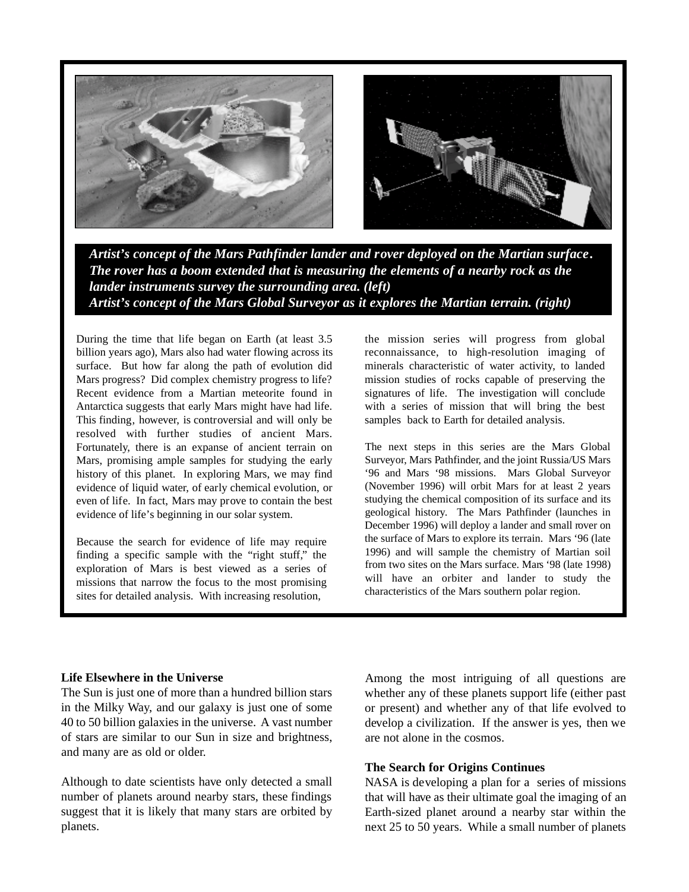

*Artist's concept of the Mars Pathfinder lander and rover deployed on the Martian surface. The rover has a boom extended that is measuring the elements of a nearby rock as the lander instruments survey the surrounding area. (left) Artist's concept of the Mars Global Surveyor as it explores the Martian terrain. (right)*

During the time that life began on Earth (at least 3.5 billion years ago), Mars also had water flowing across its surface. But how far along the path of evolution did Mars progress? Did complex chemistry progress to life? Recent evidence from a Martian meteorite found in Antarctica suggests that early Mars might have had life. This finding, however, is controversial and will only be resolved with further studies of ancient Mars. Fortunately, there is an expanse of ancient terrain on Mars, promising ample samples for studying the early history of this planet. In exploring Mars, we may find evidence of liquid water, of early chemical evolution, or even of life. In fact, Mars may prove to contain the best evidence of life's beginning in our solar system.

Because the search for evidence of life may require finding a specific sample with the "right stuff," the exploration of Mars is best viewed as a series of missions that narrow the focus to the most promising sites for detailed analysis. With increasing resolution,

the mission series will progress from global reconnaissance, to high-resolution imaging of minerals characteristic of water activity, to landed mission studies of rocks capable of preserving the signatures of life. The investigation will conclude with a series of mission that will bring the best samples back to Earth for detailed analysis.

The next steps in this series are the Mars Global Surveyor, Mars Pathfinder, and the joint Russia/US Mars '96 and Mars '98 missions. Mars Global Surveyor (November 1996) will orbit Mars for at least 2 years studying the chemical composition of its surface and its geological history. The Mars Pathfinder (launches in December 1996) will deploy a lander and small rover on the surface of Mars to explore its terrain. Mars '96 (late 1996) and will sample the chemistry of Martian soil from two sites on the Mars surface. Mars '98 (late 1998) will have an orbiter and lander to study the characteristics of the Mars southern polar region.

#### **Life Elsewhere in the Universe**

The Sun is just one of more than a hundred billion stars in the Milky Way, and our galaxy is just one of some 40 to 50 billion galaxies in the universe. A vast number of stars are similar to our Sun in size and brightness, and many are as old or older.

Although to date scientists have only detected a small number of planets around nearby stars, these findings suggest that it is likely that many stars are orbited by planets.

Among the most intriguing of all questions are whether any of these planets support life (either past or present) and whether any of that life evolved to develop a civilization. If the answer is yes, then we are not alone in the cosmos.

### **The Search for Origins Continues**

NASA is developing a plan for a series of missions that will have as their ultimate goal the imaging of an Earth-sized planet around a nearby star within the next 25 to 50 years. While a small number of planets